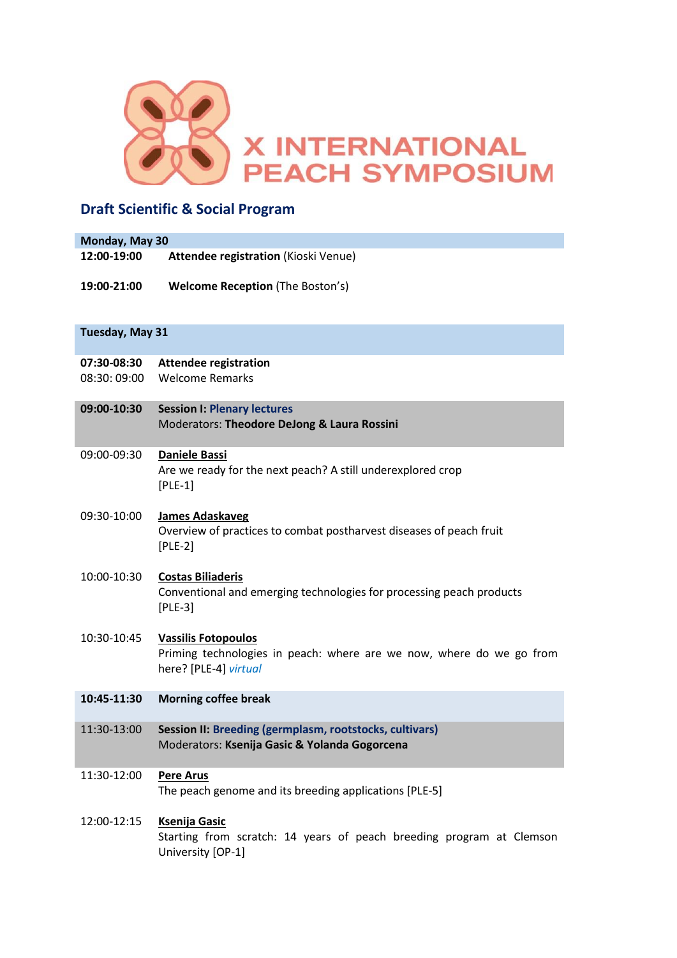

# **Draft Scientific & Social Program**

| Monday, May 30             |                                                                                                                             |  |
|----------------------------|-----------------------------------------------------------------------------------------------------------------------------|--|
| 12:00-19:00                | Attendee registration (Kioski Venue)                                                                                        |  |
| 19:00-21:00                | <b>Welcome Reception (The Boston's)</b>                                                                                     |  |
|                            |                                                                                                                             |  |
| Tuesday, May 31            |                                                                                                                             |  |
| 07:30-08:30<br>08:30:09:00 | <b>Attendee registration</b><br><b>Welcome Remarks</b>                                                                      |  |
|                            |                                                                                                                             |  |
| 09:00-10:30                | <b>Session I: Plenary lectures</b><br>Moderators: Theodore DeJong & Laura Rossini                                           |  |
|                            |                                                                                                                             |  |
| 09:00-09:30                | <b>Daniele Bassi</b><br>Are we ready for the next peach? A still underexplored crop<br>$[PLE-1]$                            |  |
|                            |                                                                                                                             |  |
| 09:30-10:00                | <b>James Adaskaveg</b><br>Overview of practices to combat postharvest diseases of peach fruit<br>$[PLE-2]$                  |  |
| 10:00-10:30                | <b>Costas Biliaderis</b><br>Conventional and emerging technologies for processing peach products<br>$[PLE-3]$               |  |
|                            |                                                                                                                             |  |
| 10:30-10:45                | <b>Vassilis Fotopoulos</b><br>Priming technologies in peach: where are we now, where do we go from<br>here? [PLE-4] virtual |  |
| 10:45-11:30                | <b>Morning coffee break</b>                                                                                                 |  |
| 11:30-13:00                | Session II: Breeding (germplasm, rootstocks, cultivars)                                                                     |  |
|                            | Moderators: Ksenija Gasic & Yolanda Gogorcena                                                                               |  |
| 11:30-12:00                | <b>Pere Arus</b>                                                                                                            |  |
|                            | The peach genome and its breeding applications [PLE-5]                                                                      |  |
| 12:00-12:15                | <b>Ksenija Gasic</b>                                                                                                        |  |
|                            | Starting from scratch: 14 years of peach breeding program at Clemson<br>University [OP-1]                                   |  |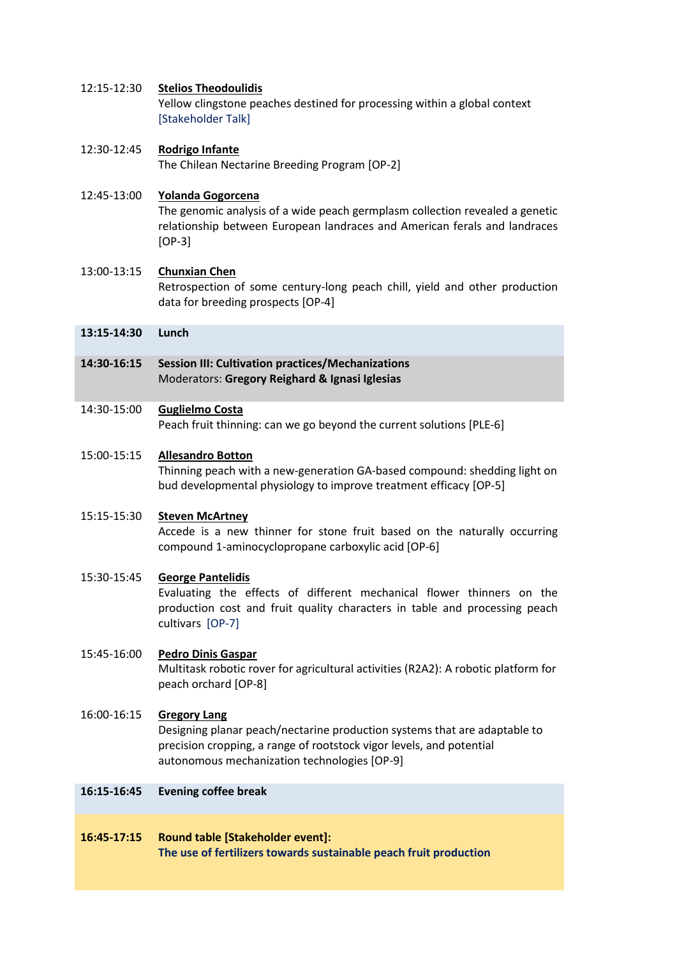# 12:15-12:30 **Stelios Theodoulidis**

Yellow clingstone peaches destined for processing within a global context [Stakeholder Talk]

# 12:30-12:45 **Rodrigo Infante**

The Chilean Nectarine Breeding Program [OP-2]

# 12:45-13:00 **Yolanda Gogorcena** The genomic analysis of a wide peach germplasm collection revealed a genetic relationship between European landraces and American ferals and landraces [OP-3]

# 13:00-13:15 **Chunxian Chen**

Retrospection of some century-long peach chill, yield and other production data for breeding prospects [OP-4]

- **13:15-14:30 Lunch**
- **14:30-16:15 Session III: Cultivation practices/Mechanizations** Moderators: **Gregory Reighard & Ignasi Iglesias**

# 14:30-15:00 **Guglielmo Costa**

Peach fruit thinning: can we go beyond the current solutions [PLE-6]

# 15:00-15:15 **Allesandro Botton**

Thinning peach with a new-generation GA-based compound: shedding light on bud developmental physiology to improve treatment efficacy [OP-5]

# 15:15-15:30 **Steven McArtney**

Accede is a new thinner for stone fruit based on the naturally occurring compound 1-aminocyclopropane carboxylic acid [OP-6]

# 15:30-15:45 **George Pantelidis**

Evaluating the effects of different mechanical flower thinners on the production cost and fruit quality characters in table and processing peach cultivars [OP-7]

# 15:45-16:00 **Pedro Dinis Gaspar**

Multitask robotic rover for agricultural activities (R2A2): A robotic platform for peach orchard [OP-8]

# 16:00-16:15 **Gregory Lang**

Designing planar peach/nectarine production systems that are adaptable to precision cropping, a range of rootstock vigor levels, and potential autonomous mechanization technologies [OP-9]

# **16:15-16:45 Evening coffee break**

# **16:45-17:15 Round table [Stakeholder event]: The use of fertilizers towards sustainable peach fruit production**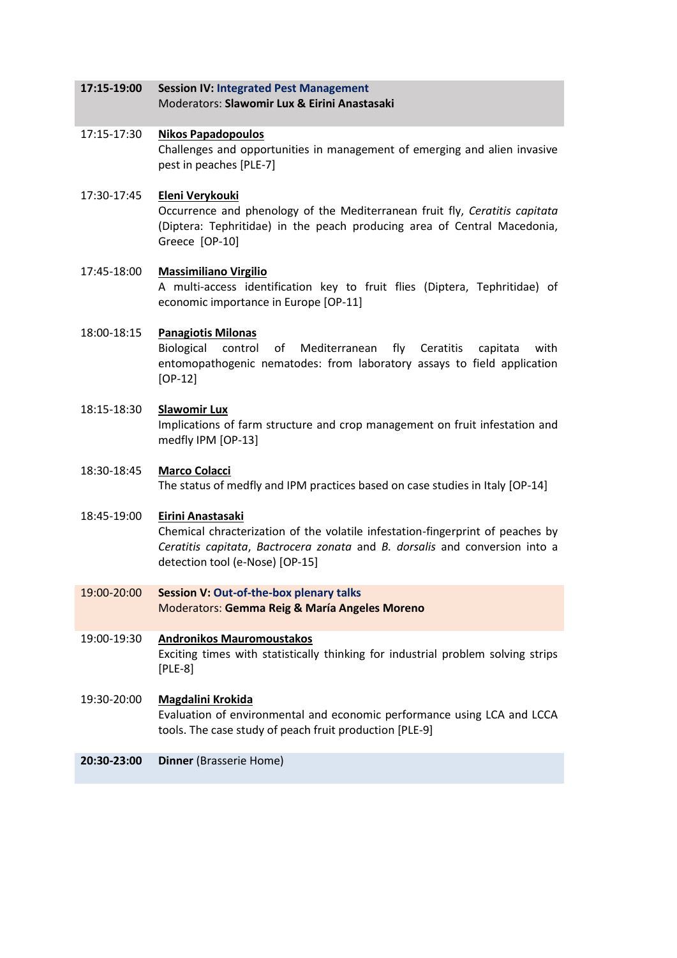### **17:15-19:00 Session IV: Integrated Pest Management** Moderators: **Slawomir Lux & Eirini Anastasaki**

# 17:15-17:30 **Nikos Papadopoulos** Challenges and opportunities in management of emerging and alien invasive pest in peaches [PLE-7]

17:30-17:45 **Eleni Verykouki** Occurrence and phenology of the Mediterranean fruit fly, *Ceratitis capitata* (Diptera: Tephritidae) in the peach producing area of Central Macedonia, Greece [OP-10]

# 17:45-18:00 **Massimiliano Virgilio** A multi-access identification key to fruit flies (Diptera, Tephritidae) of economic importance in Europe [OP-11]

# 18:00-18:15 **Panagiotis Milonas**

Biological control of Mediterranean fly Ceratitis capitata with entomopathogenic nematodes: from laboratory assays to field application [OP-12]

# 18:15-18:30 **Slawomir Lux**

Implications of farm structure and crop management on fruit infestation and medfly IPM [OP-13]

# 18:30-18:45 **Marco Colacci**

The status of medfly and IPM practices based on case studies in Italy [OP-14]

# 18:45-19:00 **Eirini Anastasaki**

Chemical chracterization of the volatile infestation-fingerprint of peaches by *Ceratitis capitata*, *Bactrocera zonata* and *B. dorsalis* and conversion into a detection tool (e-Nose) [OP-15]

19:00-20:00 **Session V: Out-of-the-box plenary talks** Moderators: **Gemma Reig & María Angeles Moreno**

# 19:00-19:30 **Andronikos Mauromoustakos** Exciting times with statistically thinking for industrial problem solving strips [PLE-8]

# 19:30-20:00 **Magdalini Krokida**

Evaluation of environmental and economic performance using LCA and LCCA tools. The case study of peach fruit production [PLE-9]

# **20:30-23:00 Dinner** (Brasserie Home)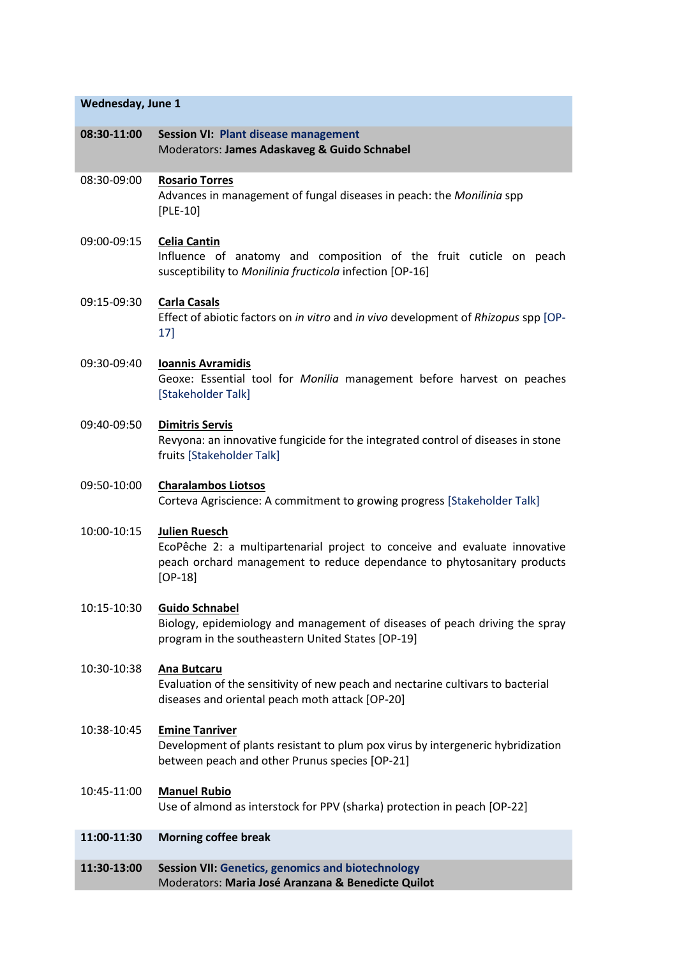# **Wednesday, June 1**

| 08:30-11:00 | <b>Session VI: Plant disease management</b><br>Moderators: James Adaskaveg & Guido Schnabel                                                                                                |
|-------------|--------------------------------------------------------------------------------------------------------------------------------------------------------------------------------------------|
| 08:30-09:00 | <b>Rosario Torres</b><br>Advances in management of fungal diseases in peach: the Monilinia spp<br>$[PLE-10]$                                                                               |
| 09:00-09:15 | <b>Celia Cantin</b><br>Influence of anatomy and composition of the fruit cuticle on peach<br>susceptibility to Monilinia fructicola infection [OP-16]                                      |
| 09:15-09:30 | <b>Carla Casals</b><br>Effect of abiotic factors on in vitro and in vivo development of Rhizopus spp [OP-<br>17]                                                                           |
| 09:30-09:40 | <b>Ioannis Avramidis</b><br>Geoxe: Essential tool for Monilia management before harvest on peaches<br>[Stakeholder Talk]                                                                   |
| 09:40-09:50 | <b>Dimitris Servis</b><br>Revyona: an innovative fungicide for the integrated control of diseases in stone<br>fruits [Stakeholder Talk]                                                    |
| 09:50-10:00 | <b>Charalambos Liotsos</b><br>Corteva Agriscience: A commitment to growing progress [Stakeholder Talk]                                                                                     |
| 10:00-10:15 | <b>Julien Ruesch</b><br>EcoPêche 2: a multipartenarial project to conceive and evaluate innovative<br>peach orchard management to reduce dependance to phytosanitary products<br>$[OP-18]$ |
| 10:15-10:30 | <b>Guido Schnabel</b><br>Biology, epidemiology and management of diseases of peach driving the spray<br>program in the southeastern United States [OP-19]                                  |
| 10:30-10:38 | <b>Ana Butcaru</b><br>Evaluation of the sensitivity of new peach and nectarine cultivars to bacterial<br>diseases and oriental peach moth attack [OP-20]                                   |
| 10:38-10:45 | <b>Emine Tanriver</b><br>Development of plants resistant to plum pox virus by intergeneric hybridization<br>between peach and other Prunus species [OP-21]                                 |
| 10:45-11:00 | <b>Manuel Rubio</b><br>Use of almond as interstock for PPV (sharka) protection in peach [OP-22]                                                                                            |
| 11:00-11:30 | <b>Morning coffee break</b>                                                                                                                                                                |
| 11:30-13:00 | <b>Session VII: Genetics, genomics and biotechnology</b><br>Moderators: Maria José Aranzana & Benedicte Quilot                                                                             |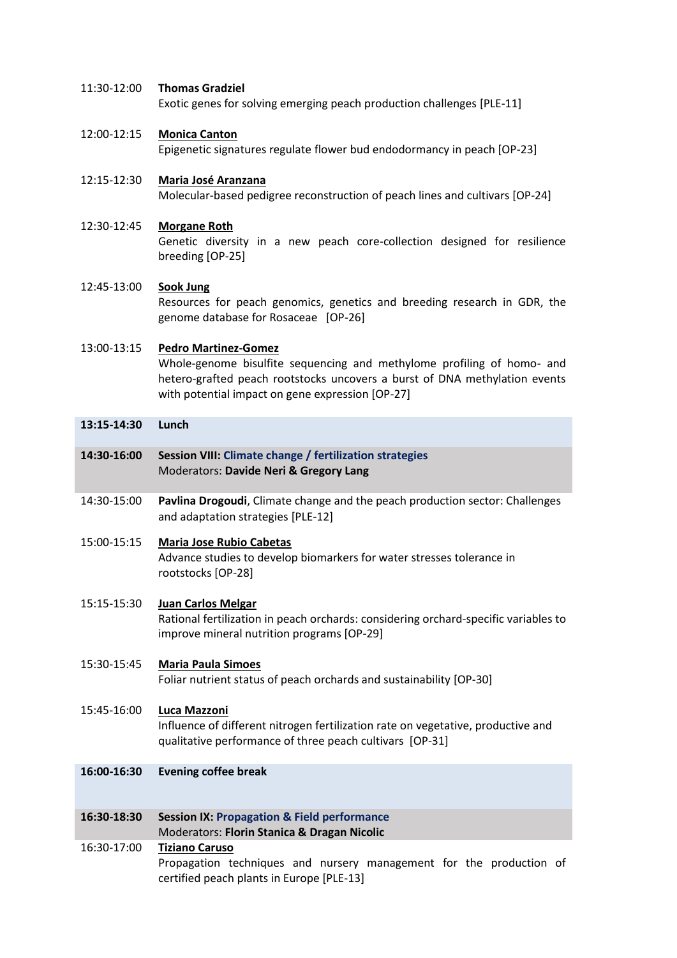# 11:30-12:00 **Thomas Gradziel**

Exotic genes for solving emerging peach production challenges [PLE-11]

# 12:00-12:15 **Monica Canton**

Epigenetic signatures regulate flower bud endodormancy in peach [OP-23]

# 12:15-12:30 **Maria José Aranzana** Molecular-based pedigree reconstruction of peach lines and cultivars [OP-24]

# 12:30-12:45 **Morgane Roth**

Genetic diversity in a new peach core-collection designed for resilience breeding [OP-25]

# 12:45-13:00 **Sook Jung** Resources for peach genomics, genetics and breeding research in GDR, the genome database for Rosaceae [OP-26]

# 13:00-13:15 **Pedro Martinez-Gomez** Whole-genome bisulfite sequencing and methylome profiling of homo- and hetero-grafted peach rootstocks uncovers a burst of DNA methylation events with potential impact on gene expression [OP-27]

# **13:15-14:30 Lunch**

- **14:30-16:00 Session VIII: Climate change / fertilization strategies** Moderators: **Davide Neri & Gregory Lang**
- 14:30-15:00 **Pavlina Drogoudi**, Climate change and the peach production sector: Challenges and adaptation strategies [PLE-12]
- 15:00-15:15 **Maria Jose Rubio Cabetas** Advance studies to develop biomarkers for water stresses tolerance in rootstocks [OP-28]

# 15:15-15:30 **Juan Carlos Melgar**

Rational fertilization in peach orchards: considering orchard-specific variables to improve mineral nutrition programs [OP-29]

# 15:30-15:45 **Maria Paula Simoes**

Foliar nutrient status of peach orchards and sustainability [OP-30]

# 15:45-16:00 **Luca Mazzoni**

Influence of different nitrogen fertilization rate on vegetative, productive and qualitative performance of three peach cultivars [OP-31]

**16:00-16:30 Evening coffee break** 

# **16:30-18:30 Session IX: Propagation & Field performance** Moderators: **Florin Stanica & Dragan Nicolic**

# 16:30-17:00 **Tiziano Caruso**

Propagation techniques and nursery management for the production of certified peach plants in Europe [PLE-13]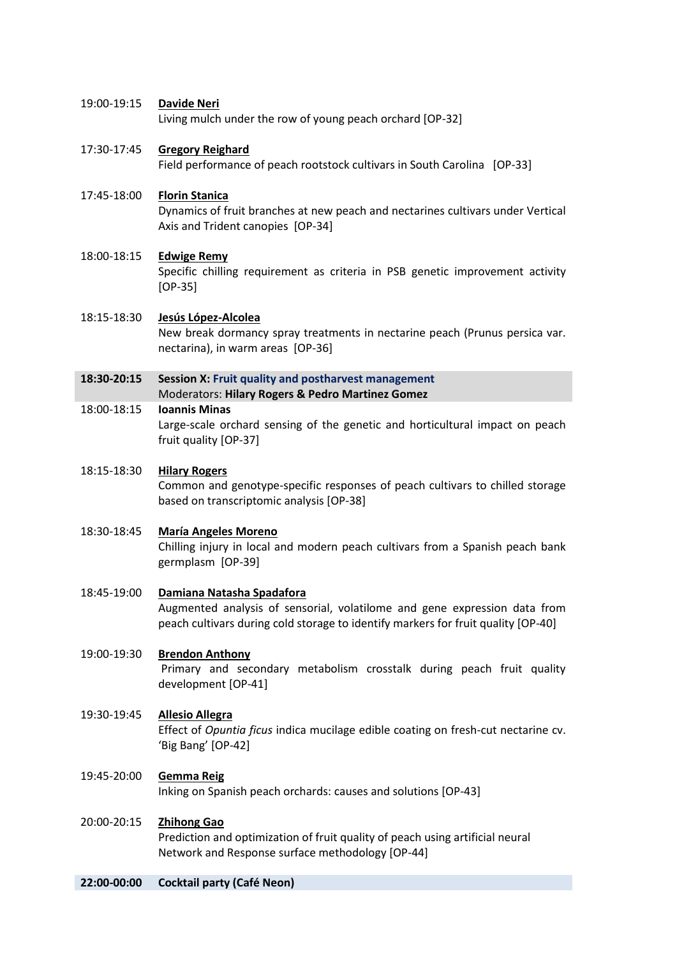# 19:00-19:15 **Davide Neri**

Living mulch under the row of young peach orchard [OP-32]

# 17:30-17:45 **Gregory Reighard**

Field performance of peach rootstock cultivars in South Carolina [OP-33]

# 17:45-18:00 **Florin Stanica**

Dynamics of fruit branches at new peach and nectarines cultivars under Vertical Axis and Trident canopies [OP-34]

# 18:00-18:15 **Edwige Remy**

Specific chilling requirement as criteria in PSB genetic improvement activity [OP-35]

# 18:15-18:30 **Jesús López-Alcolea**

New break dormancy spray treatments in nectarine peach (Prunus persica var. nectarina), in warm areas [OP-36]

# **18:30-20:15 Session X: Fruit quality and postharvest management**

#### Moderators: **Hilary Rogers & Pedro Martinez Gomez**

# 18:00-18:15 **Ioannis Minas**

Large-scale orchard sensing of the genetic and horticultural impact on peach fruit quality [OP-37]

# 18:15-18:30 **Hilary Rogers**

Common and genotype-specific responses of peach cultivars to chilled storage based on transcriptomic analysis [OP-38]

# 18:30-18:45 **María Angeles Moreno**

Chilling injury in local and modern peach cultivars from a Spanish peach bank germplasm [OP-39]

# 18:45-19:00 **Damiana Natasha Spadafora**

Augmented analysis of sensorial, volatilome and gene expression data from peach cultivars during cold storage to identify markers for fruit quality [OP-40]

# 19:00-19:30 **Brendon Anthony**

Primary and secondary metabolism crosstalk during peach fruit quality development [OP-41]

# 19:30-19:45 **Allesio Allegra**

Effect of *Opuntia ficus* indica mucilage edible coating on fresh-cut nectarine cv. 'Big Bang' [OP-42]

# 19:45-20:00 **Gemma Reig**

Inking on Spanish peach orchards: causes and solutions [OP-43]

# 20:00-20:15 **Zhihong Gao**

Prediction and optimization of fruit quality of peach using artificial neural Network and Response surface methodology [OP-44]

# **22:00-00:00 Cocktail party (Café Neon)**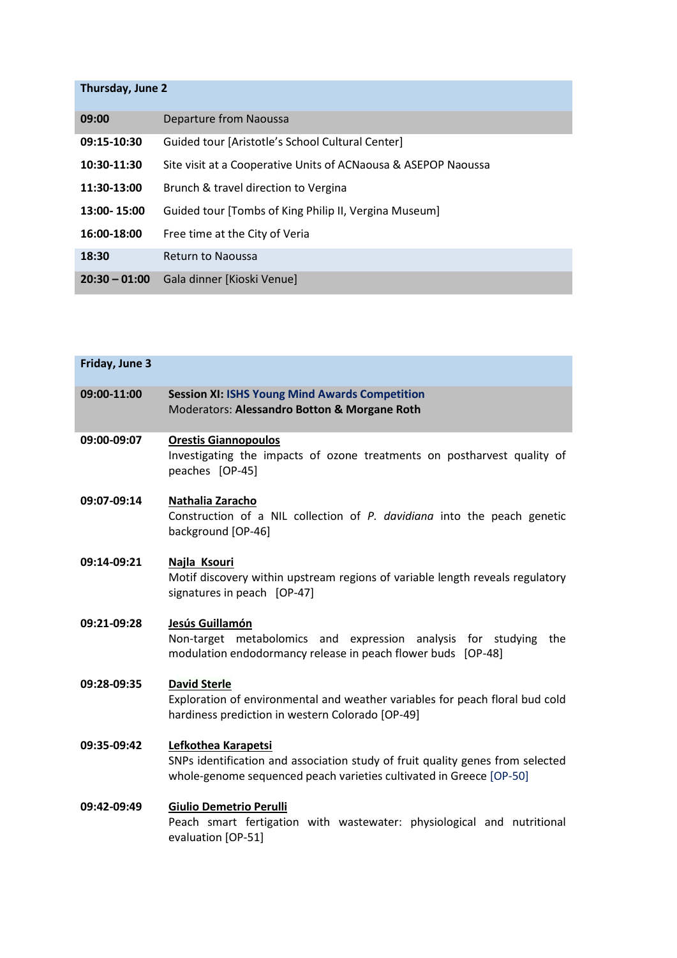# **Thursday, June 2**

| 09:00           | Departure from Naoussa                                         |
|-----------------|----------------------------------------------------------------|
| 09:15-10:30     | Guided tour [Aristotle's School Cultural Center]               |
| 10:30-11:30     | Site visit at a Cooperative Units of ACNaousa & ASEPOP Naoussa |
| 11:30-13:00     | Brunch & travel direction to Vergina                           |
| 13:00-15:00     | Guided tour [Tombs of King Philip II, Vergina Museum]          |
| 16:00-18:00     | Free time at the City of Veria                                 |
| 18:30           | <b>Return to Naoussa</b>                                       |
| $20:30 - 01:00$ | Gala dinner [Kioski Venue]                                     |

| Friday, June 3 |                                                                                                                                                                              |
|----------------|------------------------------------------------------------------------------------------------------------------------------------------------------------------------------|
| 09:00-11:00    | <b>Session XI: ISHS Young Mind Awards Competition</b><br>Moderators: Alessandro Botton & Morgane Roth                                                                        |
| 09:00-09:07    | <b>Orestis Giannopoulos</b><br>Investigating the impacts of ozone treatments on postharvest quality of<br>peaches [OP-45]                                                    |
| 09:07-09:14    | Nathalia Zaracho<br>Construction of a NIL collection of P. davidiana into the peach genetic<br>background [OP-46]                                                            |
| 09:14-09:21    | Najla Ksouri<br>Motif discovery within upstream regions of variable length reveals regulatory<br>signatures in peach [OP-47]                                                 |
| 09:21-09:28    | Jesús Guillamón<br>Non-target metabolomics and expression analysis for studying<br>the<br>modulation endodormancy release in peach flower buds [OP-48]                       |
| 09:28-09:35    | <b>David Sterle</b><br>Exploration of environmental and weather variables for peach floral bud cold<br>hardiness prediction in western Colorado [OP-49]                      |
| 09:35-09:42    | Lefkothea Karapetsi<br>SNPs identification and association study of fruit quality genes from selected<br>whole-genome sequenced peach varieties cultivated in Greece [OP-50] |
| 09:42-09:49    | <b>Giulio Demetrio Perulli</b><br>Peach smart fertigation with wastewater: physiological and nutritional<br>evaluation [OP-51]                                               |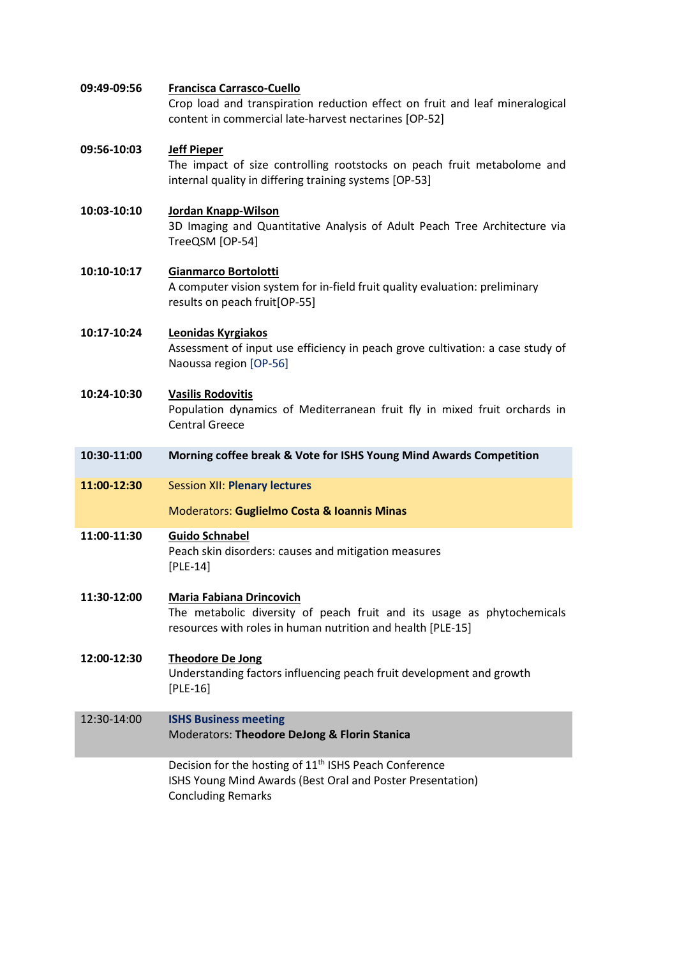| 09:49-09:56 | <b>Francisca Carrasco-Cuello</b><br>Crop load and transpiration reduction effect on fruit and leaf mineralogical<br>content in commercial late-harvest nectarines [OP-52] |
|-------------|---------------------------------------------------------------------------------------------------------------------------------------------------------------------------|
| 09:56-10:03 | <b>Jeff Pieper</b><br>The impact of size controlling rootstocks on peach fruit metabolome and<br>internal quality in differing training systems [OP-53]                   |
| 10:03-10:10 | Jordan Knapp-Wilson<br>3D Imaging and Quantitative Analysis of Adult Peach Tree Architecture via<br>TreeQSM [OP-54]                                                       |
| 10:10-10:17 | Gianmarco Bortolotti<br>A computer vision system for in-field fruit quality evaluation: preliminary<br>results on peach fruit[OP-55]                                      |
| 10:17-10:24 | <b>Leonidas Kyrgiakos</b><br>Assessment of input use efficiency in peach grove cultivation: a case study of<br>Naoussa region [OP-56]                                     |
| 10:24-10:30 | <b>Vasilis Rodovitis</b><br>Population dynamics of Mediterranean fruit fly in mixed fruit orchards in<br><b>Central Greece</b>                                            |
| 10:30-11:00 | Morning coffee break & Vote for ISHS Young Mind Awards Competition                                                                                                        |
| 11:00-12:30 | <b>Session XII: Plenary lectures</b><br>Moderators: Guglielmo Costa & Ioannis Minas                                                                                       |
| 11:00-11:30 | <b>Guido Schnabel</b><br>Peach skin disorders: causes and mitigation measures<br>$[PLE-14]$                                                                               |
| 11:30-12:00 | <b>Maria Fabiana Drincovich</b><br>The metabolic diversity of peach fruit and its usage as phytochemicals<br>resources with roles in human nutrition and health [PLE-15]  |
| 12:00-12:30 | <b>Theodore De Jong</b><br>Understanding factors influencing peach fruit development and growth<br>$[PLE-16]$                                                             |
| 12:30-14:00 | <b>ISHS Business meeting</b><br>Moderators: Theodore DeJong & Florin Stanica                                                                                              |
|             | Decision for the hosting of 11 <sup>th</sup> ISHS Peach Conference<br>ISHS Young Mind Awards (Best Oral and Poster Presentation)<br><b>Concluding Remarks</b>             |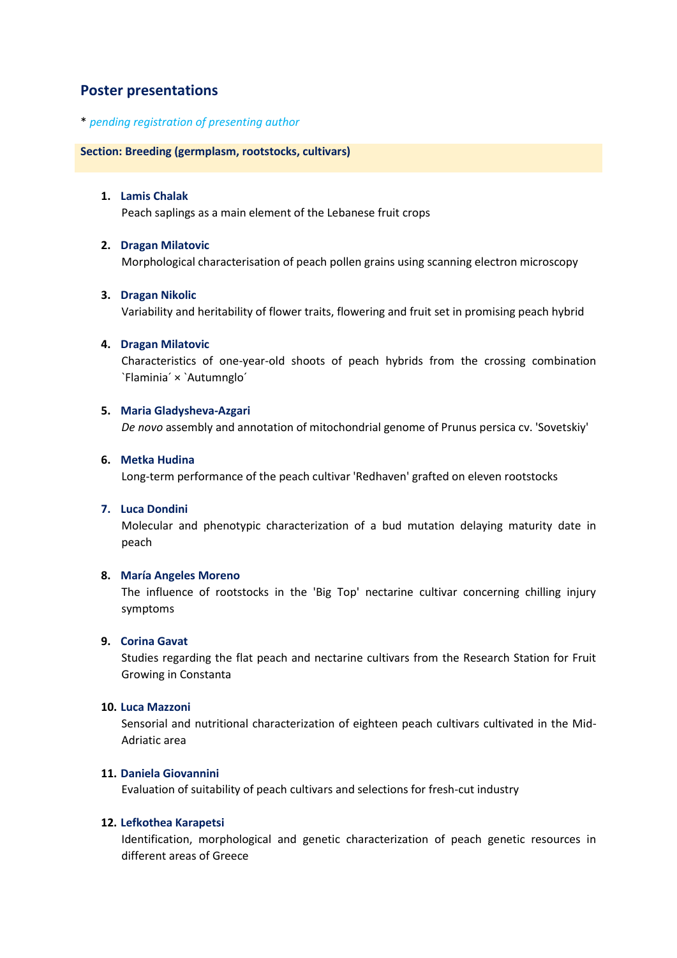# **Poster presentations**

# \* *pending registration of presenting author*

# **Section: Breeding (germplasm, rootstocks, cultivars)**

# **1. Lamis Chalak**

Peach saplings as a main element of the Lebanese fruit crops

# **2. Dragan Milatovic**

Morphological characterisation of peach pollen grains using scanning electron microscopy

# **3. Dragan Nikolic**

Variability and heritability of flower traits, flowering and fruit set in promising peach hybrid

# **4. Dragan Milatovic**

Characteristics of one-year-old shoots of peach hybrids from the crossing combination `Flaminia´ × `Autumnglo´

# **5. Maria Gladysheva-Azgari**

*De novo* assembly and annotation of mitochondrial genome of Prunus persica cv. 'Sovetskiy'

# **6. Metka Hudina**

Long-term performance of the peach cultivar 'Redhaven' grafted on eleven rootstocks

# **7. Luca Dondini**

Molecular and phenotypic characterization of a bud mutation delaying maturity date in peach

# **8. María Angeles Moreno**

The influence of rootstocks in the 'Big Top' nectarine cultivar concerning chilling injury symptoms

# **9. Corina Gavat**

Studies regarding the flat peach and nectarine cultivars from the Research Station for Fruit Growing in Constanta

# **10. Luca Mazzoni**

Sensorial and nutritional characterization of eighteen peach cultivars cultivated in the Mid-Adriatic area

# **11. Daniela Giovannini**

Evaluation of suitability of peach cultivars and selections for fresh-cut industry

# **12. Lefkothea Karapetsi**

Identification, morphological and genetic characterization of peach genetic resources in different areas of Greece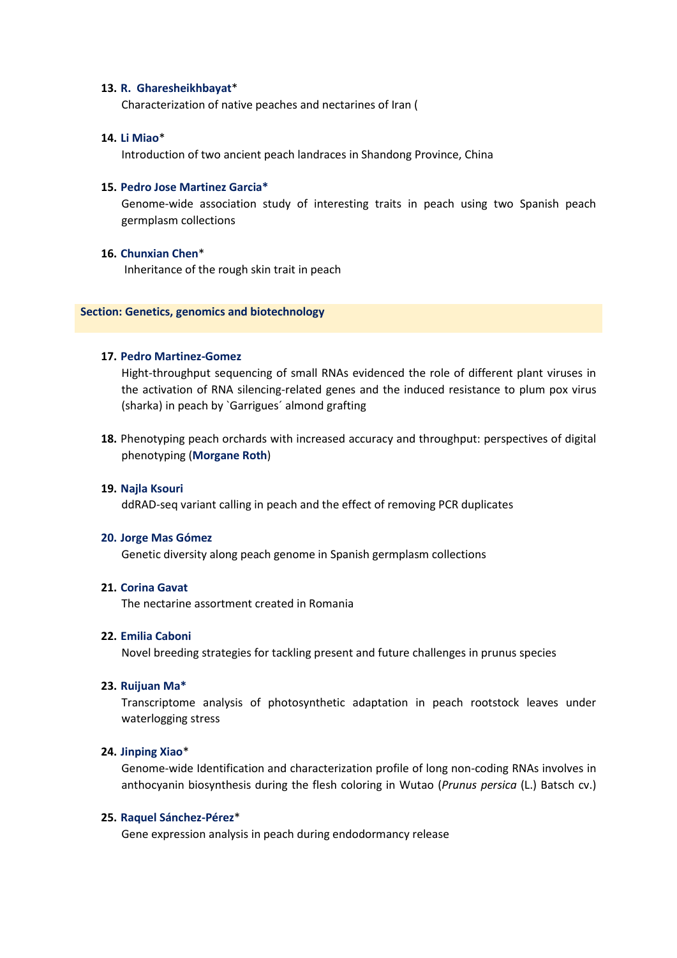## **13. R. Gharesheikhbayat**\*

Characterization of native peaches and nectarines of Iran (

# **14. Li Miao**\*

Introduction of two ancient peach landraces in Shandong Province, China

### **15. Pedro Jose Martinez Garcia\***

Genome-wide association study of interesting traits in peach using two Spanish peach germplasm collections

#### **16. Chunxian Chen**\*

Inheritance of the rough skin trait in peach

#### **Section: Genetics, genomics and biotechnology**

# **17. Pedro Martinez-Gomez**

Hight-throughput sequencing of small RNAs evidenced the role of different plant viruses in the activation of RNA silencing-related genes and the induced resistance to plum pox virus (sharka) in peach by `Garrigues´ almond grafting

**18.** Phenotyping peach orchards with increased accuracy and throughput: perspectives of digital phenotyping (**Morgane Roth**)

#### **19. Najla Ksouri**

ddRAD-seq variant calling in peach and the effect of removing PCR duplicates

#### **20. Jorge Mas Gómez**

Genetic diversity along peach genome in Spanish germplasm collections

### **21. Corina Gavat**

The nectarine assortment created in Romania

### **22. Emilia Caboni**

Novel breeding strategies for tackling present and future challenges in prunus species

#### **23. Ruijuan Ma\***

Transcriptome analysis of photosynthetic adaptation in peach rootstock leaves under waterlogging stress

# **24. Jinping Xiao**\*

Genome-wide Identification and characterization profile of long non-coding RNAs involves in anthocyanin biosynthesis during the flesh coloring in Wutao (*Prunus persica* (L.) Batsch cv.)

#### **25. Raquel Sánchez-Pérez**\*

Gene expression analysis in peach during endodormancy release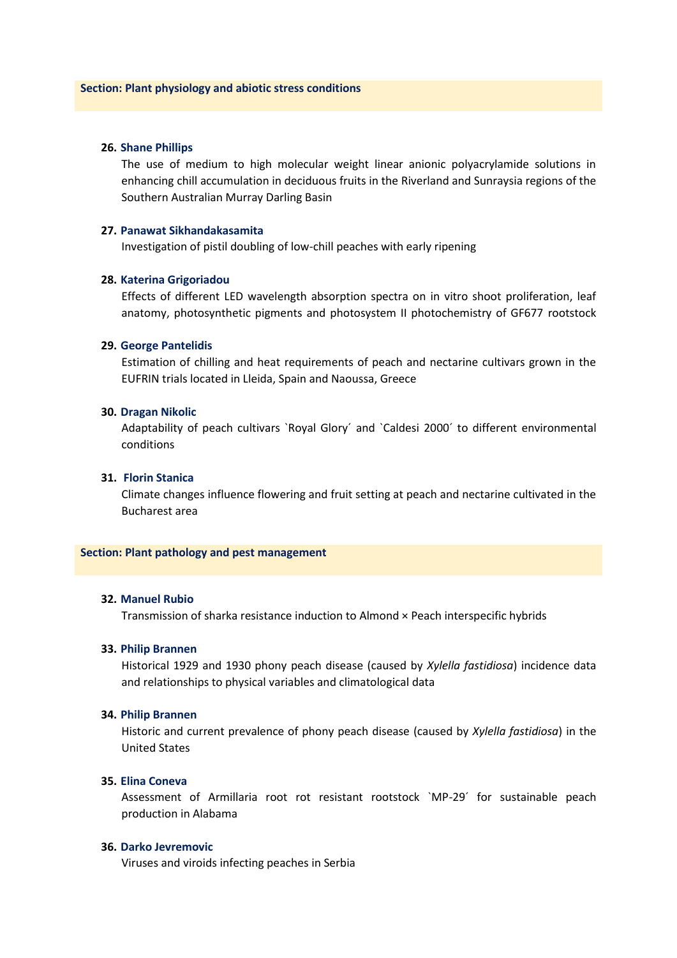## **26. Shane Phillips**

The use of medium to high molecular weight linear anionic polyacrylamide solutions in enhancing chill accumulation in deciduous fruits in the Riverland and Sunraysia regions of the Southern Australian Murray Darling Basin

# **27. Panawat Sikhandakasamita**

Investigation of pistil doubling of low-chill peaches with early ripening

# **28. Katerina Grigoriadou**

Effects of different LED wavelength absorption spectra on in vitro shoot proliferation, leaf anatomy, photosynthetic pigments and photosystem II photochemistry of GF677 rootstock

# **29. George Pantelidis**

Estimation of chilling and heat requirements of peach and nectarine cultivars grown in the EUFRIN trials located in Lleida, Spain and Naoussa, Greece

#### **30. Dragan Nikolic**

Adaptability of peach cultivars `Royal Glory´ and `Caldesi 2000´ to different environmental conditions

# **31. Florin Stanica**

Climate changes influence flowering and fruit setting at peach and nectarine cultivated in the Bucharest area

# **Section: Plant pathology and pest management**

### **32. Manuel Rubio**

Transmission of sharka resistance induction to Almond × Peach interspecific hybrids

# **33. Philip Brannen**

Historical 1929 and 1930 phony peach disease (caused by *Xylella fastidiosa*) incidence data and relationships to physical variables and climatological data

# **34. Philip Brannen**

Historic and current prevalence of phony peach disease (caused by *Xylella fastidiosa*) in the United States

# **35. Elina Coneva**

Assessment of Armillaria root rot resistant rootstock `MP-29´ for sustainable peach production in Alabama

### **36. Darko Jevremovic**

Viruses and viroids infecting peaches in Serbia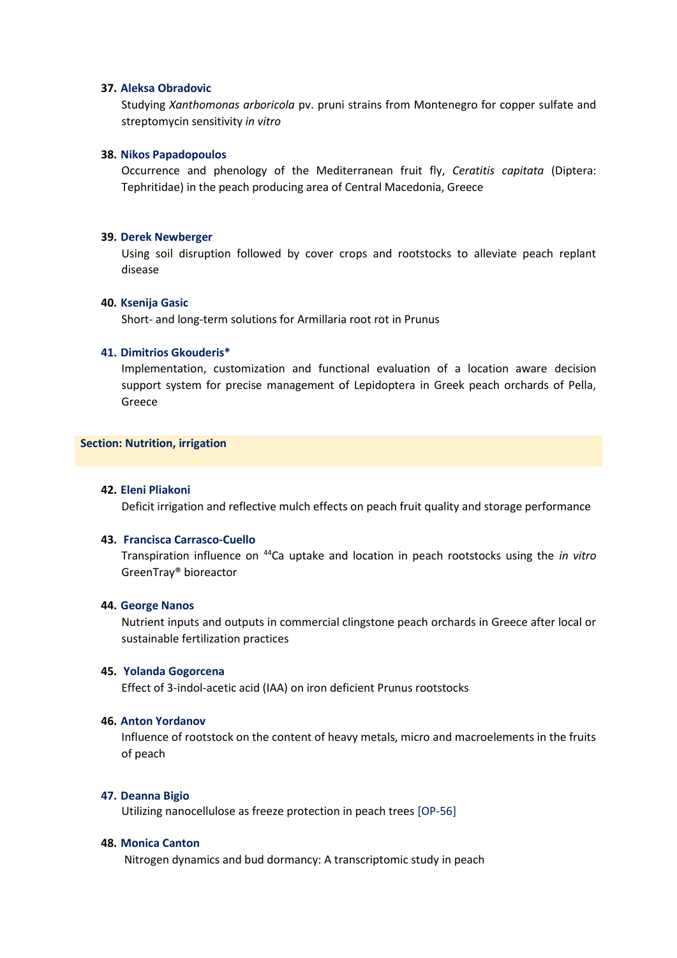# **37. Aleksa Obradovic**

Studying *Xanthomonas arboricola* pv. pruni strains from Montenegro for copper sulfate and streptomycin sensitivity *in vitro* 

### **38. Nikos Papadopoulos**

Occurrence and phenology of the Mediterranean fruit fly, *Ceratitis capitata* (Diptera: Tephritidae) in the peach producing area of Central Macedonia, Greece

#### **39. Derek Newberger**

Using soil disruption followed by cover crops and rootstocks to alleviate peach replant disease

#### **40. Ksenija Gasic**

Short- and long-term solutions for Armillaria root rot in Prunus

# **41. Dimitrios Gkouderis\***

Implementation, customization and functional evaluation of a location aware decision support system for precise management of Lepidoptera in Greek peach orchards of Pella, Greece

# **Section: Nutrition, irrigation**

# **42. Eleni Pliakoni**

Deficit irrigation and reflective mulch effects on peach fruit quality and storage performance

#### **43. Francisca Carrasco-Cuello**

Transpiration influence on <sup>44</sup>Ca uptake and location in peach rootstocks using the *in vitro* GreenTray® bioreactor

# **44. George Nanos**

Nutrient inputs and outputs in commercial clingstone peach orchards in Greece after local or sustainable fertilization practices

# **45. Yolanda Gogorcena**

Effect of 3-indol-acetic acid (IAA) on iron deficient Prunus rootstocks

## **46. Anton Yordanov**

Influence of rootstock on the content of heavy metals, micro and macroelements in the fruits of peach

# **47. Deanna Bigio**

Utilizing nanocellulose as freeze protection in peach trees [OP-56]

#### **48. Monica Canton**

Nitrogen dynamics and bud dormancy: A transcriptomic study in peach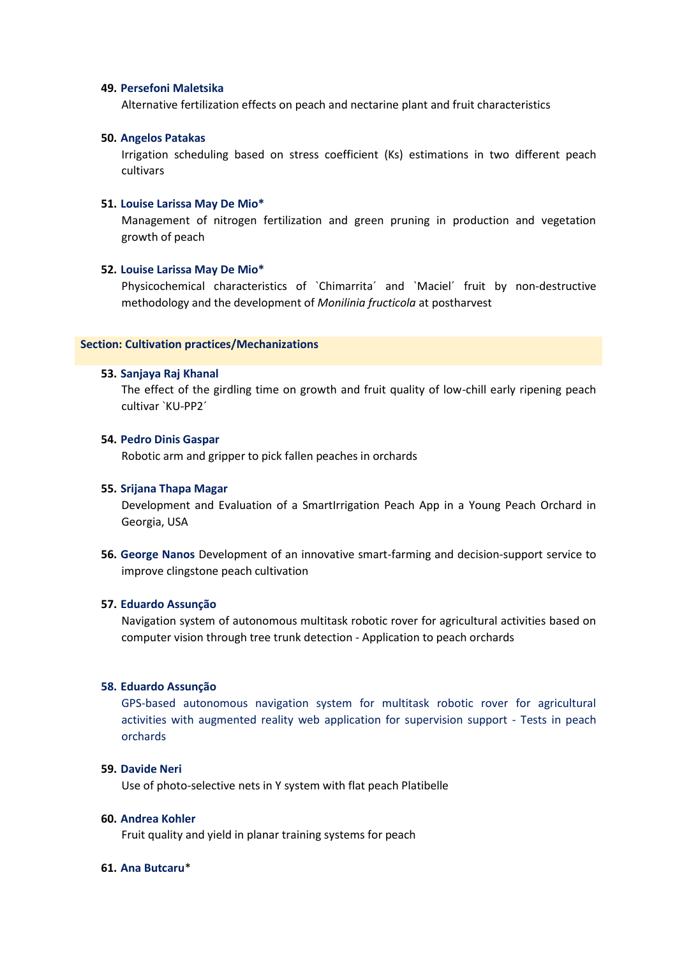# **49. Persefoni Maletsika**

Alternative fertilization effects on peach and nectarine plant and fruit characteristics

# **50. Angelos Patakas**

Irrigation scheduling based on stress coefficient (Ks) estimations in two different peach cultivars

### **51. Louise Larissa May De Mio\***

Management of nitrogen fertilization and green pruning in production and vegetation growth of peach

#### **52. Louise Larissa May De Mio\***

Physicochemical characteristics of `Chimarrita´ and `Maciel´ fruit by non-destructive methodology and the development of *Monilinia fructicola* at postharvest

### **Section: Cultivation practices/Mechanizations**

#### **53. Sanjaya Raj Khanal**

The effect of the girdling time on growth and fruit quality of low-chill early ripening peach cultivar `KU-PP2´

#### **54. Pedro Dinis Gaspar**

Robotic arm and gripper to pick fallen peaches in orchards

#### **55. Srijana Thapa Magar**

Development and Evaluation of a SmartIrrigation Peach App in a Young Peach Orchard in Georgia, USA

**56. George Nanos** Development of an innovative smart-farming and decision-support service to improve clingstone peach cultivation

# **57. Eduardo Assunção**

Navigation system of autonomous multitask robotic rover for agricultural activities based on computer vision through tree trunk detection - Application to peach orchards

#### **58. Eduardo Assunção**

GPS-based autonomous navigation system for multitask robotic rover for agricultural activities with augmented reality web application for supervision support - Tests in peach orchards

### **59. Davide Neri**

Use of photo-selective nets in Y system with flat peach Platibelle

# **60. Andrea Kohler**

Fruit quality and yield in planar training systems for peach

# **61. Ana Butcaru**\*